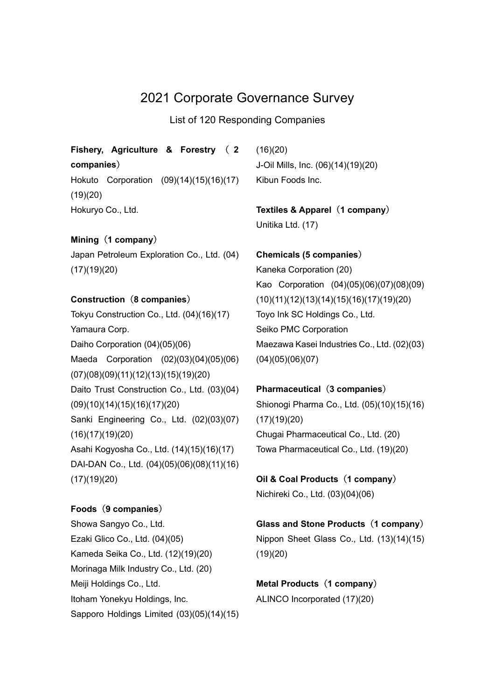# 2021 Corporate Governance Survey

List of 120 Responding Companies

# Fishery, Agriculture & Forestry ( 2 companies)

Hokuto Corporation (09)(14)(15)(16)(17) (19)(20) Hokuryo Co., Ltd.

# Mining (1 company)

Japan Petroleum Exploration Co., Ltd. (04) (17)(19)(20)

## Construction (8 companies)

Tokyu Construction Co., Ltd. (04)(16)(17) Yamaura Corp. Daiho Corporation (04)(05)(06) Maeda Corporation (02)(03)(04)(05)(06) (07)(08)(09)(11)(12)(13)(15)(19)(20) Daito Trust Construction Co., Ltd. (03)(04) (09)(10)(14)(15)(16)(17)(20) Sanki Engineering Co., Ltd. (02)(03)(07) (16)(17)(19)(20) Asahi Kogyosha Co., Ltd. (14)(15)(16)(17) DAI-DAN Co., Ltd. (04)(05)(06)(08)(11)(16) (17)(19)(20)

# Foods (9 companies)

Showa Sangyo Co., Ltd. Ezaki Glico Co., Ltd. (04)(05) Kameda Seika Co., Ltd. (12)(19)(20) Morinaga Milk Industry Co., Ltd. (20) Meiji Holdings Co., Ltd. Itoham Yonekyu Holdings, Inc. Sapporo Holdings Limited (03)(05)(14)(15)  $(16)(20)$ J-Oil Mills, Inc. (06)(14)(19)(20) Kibun Foods Inc.

Textiles & Apparel (1 company) Unitika Ltd. (17)

Chemicals (5 companies) Kaneka Corporation (20) Kao Corporation (04)(05)(06)(07)(08)(09) (10)(11)(12)(13)(14)(15)(16)(17)(19)(20) Toyo Ink SC Holdings Co., Ltd. Seiko PMC Corporation Maezawa Kasei Industries Co., Ltd. (02)(03) (04)(05)(06)(07)

## Pharmaceutical (3 companies)

Shionogi Pharma Co., Ltd. (05)(10)(15)(16) (17)(19)(20) Chugai Pharmaceutical Co., Ltd. (20) Towa Pharmaceutical Co., Ltd. (19)(20)

Oil & Coal Products (1 company) Nichireki Co., Ltd. (03)(04)(06)

# Glass and Stone Products (1 company)

Nippon Sheet Glass Co., Ltd. (13)(14)(15) (19)(20)

Metal Products (1 company) ALINCO Incorporated (17)(20)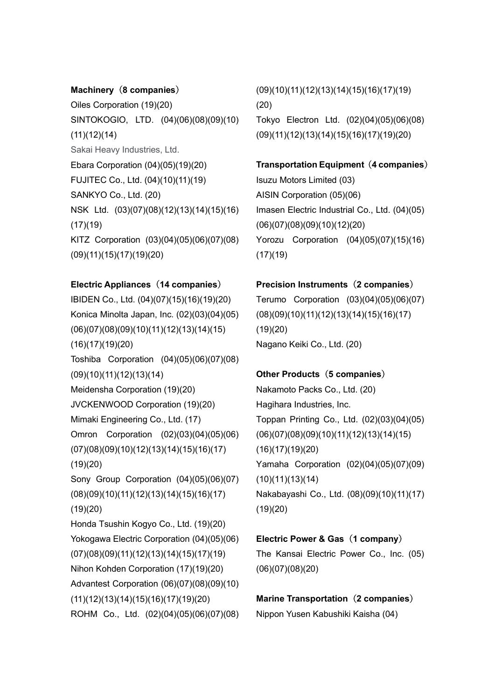### Machinery (8 companies)

Oiles Corporation (19)(20) SINTOKOGIO, LTD. (04)(06)(08)(09)(10) (11)(12)(14) Sakai Heavy Industries, Ltd. Ebara Corporation (04)(05)(19)(20) FUJITEC Co., Ltd. (04)(10)(11)(19) SANKYO Co., Ltd. (20) NSK Ltd. (03)(07)(08)(12)(13)(14)(15)(16)  $(17)(19)$ KITZ Corporation (03)(04)(05)(06)(07)(08) (09)(11)(15)(17)(19)(20)

## Electric Appliances (14 companies)

IBIDEN Co., Ltd. (04)(07)(15)(16)(19)(20) Konica Minolta Japan, Inc. (02)(03)(04)(05) (06)(07)(08)(09)(10)(11)(12)(13)(14)(15) (16)(17)(19)(20) Toshiba Corporation (04)(05)(06)(07)(08) (09)(10)(11)(12)(13)(14) Meidensha Corporation (19)(20) JVCKENWOOD Corporation (19)(20) Mimaki Engineering Co., Ltd. (17) Omron Corporation (02)(03)(04)(05)(06) (07)(08)(09)(10)(12)(13)(14)(15)(16)(17) (19)(20) Sony Group Corporation (04)(05)(06)(07) (08)(09)(10)(11)(12)(13)(14)(15)(16)(17) (19)(20) Honda Tsushin Kogyo Co., Ltd. (19)(20) Yokogawa Electric Corporation (04)(05)(06) (07)(08)(09)(11)(12)(13)(14)(15)(17)(19) Nihon Kohden Corporation (17)(19)(20) Advantest Corporation (06)(07)(08)(09)(10) (11)(12)(13)(14)(15)(16)(17)(19)(20) ROHM Co., Ltd. (02)(04)(05)(06)(07)(08) (09)(10)(11)(12)(13)(14)(15)(16)(17)(19) (20) Tokyo Electron Ltd. (02)(04)(05)(06)(08) (09)(11)(12)(13)(14)(15)(16)(17)(19)(20)

Transportation Equipment (4 companies) Isuzu Motors Limited (03) AISIN Corporation (05)(06) Imasen Electric Industrial Co., Ltd. (04)(05) (06)(07)(08)(09)(10)(12)(20) Yorozu Corporation (04)(05)(07)(15)(16)  $(17)(19)$ 

## Precision Instruments (2 companies)

Terumo Corporation (03)(04)(05)(06)(07) (08)(09)(10)(11)(12)(13)(14)(15)(16)(17) (19)(20) Nagano Keiki Co., Ltd. (20)

## Other Products (5 companies)

Nakamoto Packs Co., Ltd. (20) Hagihara Industries, Inc. Toppan Printing Co., Ltd. (02)(03)(04)(05) (06)(07)(08)(09)(10)(11)(12)(13)(14)(15) (16)(17)(19)(20) Yamaha Corporation (02)(04)(05)(07)(09)  $(10)(11)(13)(14)$ Nakabayashi Co., Ltd. (08)(09)(10)(11)(17) (19)(20)

#### Electric Power & Gas (1 company)

The Kansai Electric Power Co., Inc. (05) (06)(07)(08)(20)

Marine Transportation (2 companies) Nippon Yusen Kabushiki Kaisha (04)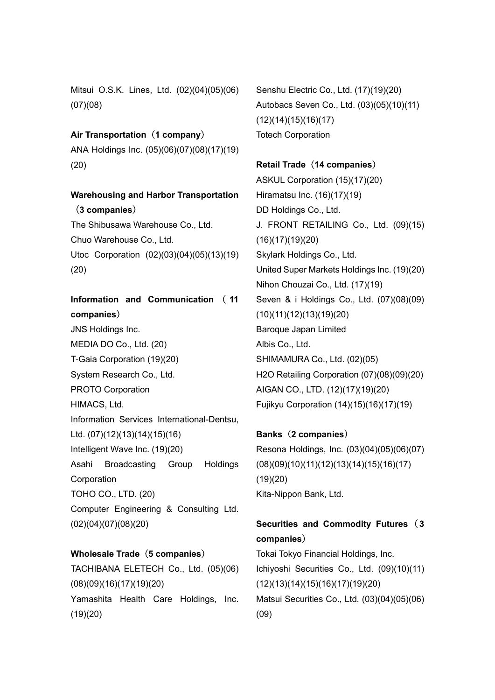Mitsui O.S.K. Lines, Ltd. (02)(04)(05)(06) (07)(08)

Air Transportation (1 company)

ANA Holdings Inc. (05)(06)(07)(08)(17)(19) (20)

# Warehousing and Harbor Transportation (3 companies)

The Shibusawa Warehouse Co., Ltd. Chuo Warehouse Co., Ltd. Utoc Corporation (02)(03)(04)(05)(13)(19) (20)

# Information and Communication ( 11 companies)

JNS Holdings Inc. MEDIA DO Co., Ltd. (20) T-Gaia Corporation (19)(20) System Research Co., Ltd. PROTO Corporation HIMACS, Ltd. Information Services International-Dentsu, Ltd. (07)(12)(13)(14)(15)(16) Intelligent Wave Inc. (19)(20) Asahi Broadcasting Group Holdings **Corporation** TOHO CO., LTD. (20) Computer Engineering & Consulting Ltd.

(02)(04)(07)(08)(20)

# Wholesale Trade (5 companies)

TACHIBANA ELETECH Co., Ltd. (05)(06) (08)(09)(16)(17)(19)(20) Yamashita Health Care Holdings, Inc. (19)(20)

Senshu Electric Co., Ltd. (17)(19)(20) Autobacs Seven Co., Ltd. (03)(05)(10)(11) (12)(14)(15)(16)(17) Totech Corporation

# Retail Trade (14 companies)

ASKUL Corporation (15)(17)(20) Hiramatsu Inc. (16)(17)(19) DD Holdings Co., Ltd. J. FRONT RETAILING Co., Ltd. (09)(15) (16)(17)(19)(20) Skylark Holdings Co., Ltd. United Super Markets Holdings Inc. (19)(20) Nihon Chouzai Co., Ltd. (17)(19) Seven & i Holdings Co., Ltd. (07)(08)(09) (10)(11)(12)(13)(19)(20) Baroque Japan Limited Albis Co., Ltd. SHIMAMURA Co., Ltd. (02)(05) H2O Retailing Corporation (07)(08)(09)(20) AIGAN CO., LTD. (12)(17)(19)(20) Fujikyu Corporation (14)(15)(16)(17)(19)

# Banks(2 companies)

Resona Holdings, Inc. (03)(04)(05)(06)(07) (08)(09)(10)(11)(12)(13)(14)(15)(16)(17) (19)(20) Kita-Nippon Bank, Ltd.

# Securities and Commodity Futures (3 companies)

Tokai Tokyo Financial Holdings, Inc. Ichiyoshi Securities Co., Ltd. (09)(10)(11) (12)(13)(14)(15)(16)(17)(19)(20) Matsui Securities Co., Ltd. (03)(04)(05)(06) (09)